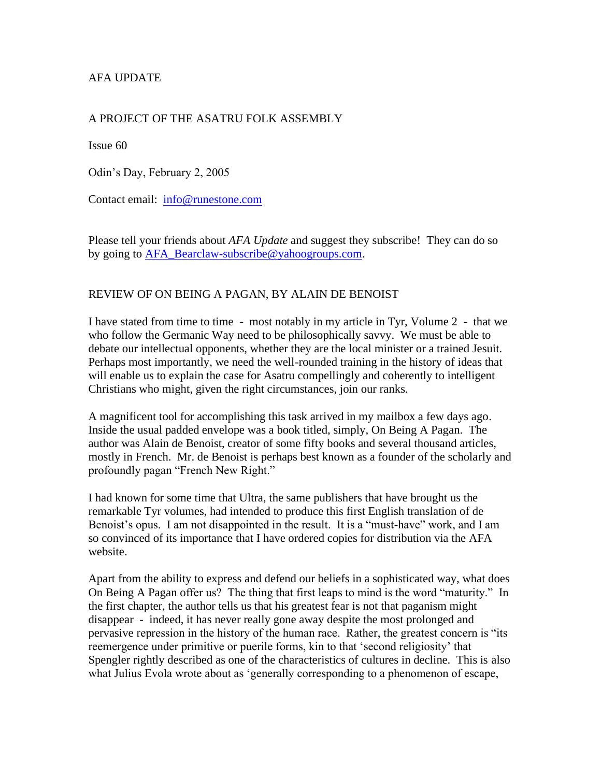# AFA UPDATE

#### A PROJECT OF THE ASATRU FOLK ASSEMBLY

Issue 60

Odin's Day, February 2, 2005

Contact email: [info@runestone.com](mailto:info@runestone.com)

Please tell your friends about *AFA Update* and suggest they subscribe! They can do so by going to [AFA\\_Bearclaw-subscribe@yahoogroups.com.](mailto:AFA_Bearclaw-subscribe@yahoogroups.com)

#### REVIEW OF ON BEING A PAGAN, BY ALAIN DE BENOIST

I have stated from time to time - most notably in my article in Tyr, Volume 2 - that we who follow the Germanic Way need to be philosophically savvy. We must be able to debate our intellectual opponents, whether they are the local minister or a trained Jesuit. Perhaps most importantly, we need the well-rounded training in the history of ideas that will enable us to explain the case for Asatru compellingly and coherently to intelligent Christians who might, given the right circumstances, join our ranks.

A magnificent tool for accomplishing this task arrived in my mailbox a few days ago. Inside the usual padded envelope was a book titled, simply, On Being A Pagan. The author was Alain de Benoist, creator of some fifty books and several thousand articles, mostly in French. Mr. de Benoist is perhaps best known as a founder of the scholarly and profoundly pagan "French New Right."

I had known for some time that Ultra, the same publishers that have brought us the remarkable Tyr volumes, had intended to produce this first English translation of de Benoist's opus. I am not disappointed in the result. It is a "must-have" work, and I am so convinced of its importance that I have ordered copies for distribution via the AFA website.

Apart from the ability to express and defend our beliefs in a sophisticated way, what does On Being A Pagan offer us? The thing that first leaps to mind is the word "maturity." In the first chapter, the author tells us that his greatest fear is not that paganism might disappear - indeed, it has never really gone away despite the most prolonged and pervasive repression in the history of the human race. Rather, the greatest concern is "its reemergence under primitive or puerile forms, kin to that 'second religiosity' that Spengler rightly described as one of the characteristics of cultures in decline. This is also what Julius Evola wrote about as 'generally corresponding to a phenomenon of escape,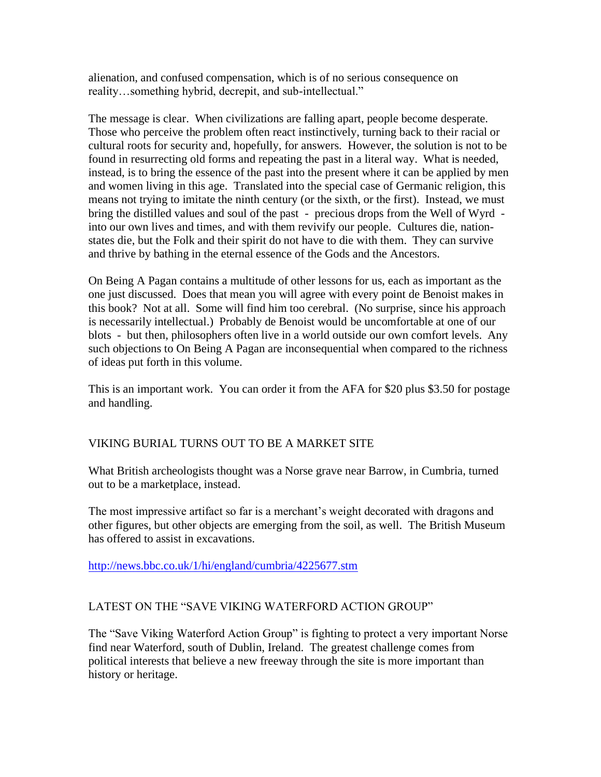alienation, and confused compensation, which is of no serious consequence on reality…something hybrid, decrepit, and sub-intellectual."

The message is clear. When civilizations are falling apart, people become desperate. Those who perceive the problem often react instinctively, turning back to their racial or cultural roots for security and, hopefully, for answers. However, the solution is not to be found in resurrecting old forms and repeating the past in a literal way. What is needed, instead, is to bring the essence of the past into the present where it can be applied by men and women living in this age. Translated into the special case of Germanic religion, this means not trying to imitate the ninth century (or the sixth, or the first). Instead, we must bring the distilled values and soul of the past - precious drops from the Well of Wyrd into our own lives and times, and with them revivify our people. Cultures die, nationstates die, but the Folk and their spirit do not have to die with them. They can survive and thrive by bathing in the eternal essence of the Gods and the Ancestors.

On Being A Pagan contains a multitude of other lessons for us, each as important as the one just discussed. Does that mean you will agree with every point de Benoist makes in this book? Not at all. Some will find him too cerebral. (No surprise, since his approach is necessarily intellectual.) Probably de Benoist would be uncomfortable at one of our blots - but then, philosophers often live in a world outside our own comfort levels. Any such objections to On Being A Pagan are inconsequential when compared to the richness of ideas put forth in this volume.

This is an important work. You can order it from the AFA for \$20 plus \$3.50 for postage and handling.

## VIKING BURIAL TURNS OUT TO BE A MARKET SITE

What British archeologists thought was a Norse grave near Barrow, in Cumbria, turned out to be a marketplace, instead.

The most impressive artifact so far is a merchant's weight decorated with dragons and other figures, but other objects are emerging from the soil, as well. The British Museum has offered to assist in excavations.

<http://news.bbc.co.uk/1/hi/england/cumbria/4225677.stm>

## LATEST ON THE "SAVE VIKING WATERFORD ACTION GROUP"

The "Save Viking Waterford Action Group" is fighting to protect a very important Norse find near Waterford, south of Dublin, Ireland. The greatest challenge comes from political interests that believe a new freeway through the site is more important than history or heritage.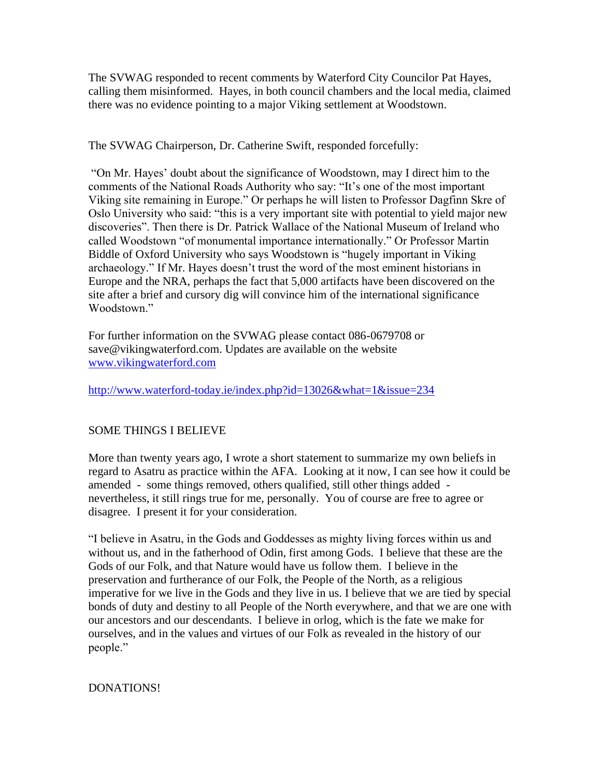The SVWAG responded to recent comments by Waterford City Councilor Pat Hayes, calling them misinformed. Hayes, in both council chambers and the local media, claimed there was no evidence pointing to a major Viking settlement at Woodstown.

The SVWAG Chairperson, Dr. Catherine Swift, responded forcefully:

"On Mr. Hayes' doubt about the significance of Woodstown, may I direct him to the comments of the National Roads Authority who say: "It's one of the most important Viking site remaining in Europe." Or perhaps he will listen to Professor Dagfinn Skre of Oslo University who said: "this is a very important site with potential to yield major new discoveries". Then there is Dr. Patrick Wallace of the National Museum of Ireland who called Woodstown "of monumental importance internationally." Or Professor Martin Biddle of Oxford University who says Woodstown is "hugely important in Viking archaeology." If Mr. Hayes doesn't trust the word of the most eminent historians in Europe and the NRA, perhaps the fact that 5,000 artifacts have been discovered on the site after a brief and cursory dig will convince him of the international significance Woodstown."

For further information on the SVWAG please contact 086-0679708 or save@vikingwaterford.com. Updates are available on the website [www.vikingwaterford.com](http://www.vikingwaterford.com/)

<http://www.waterford-today.ie/index.php?id=13026&what=1&issue=234>

## SOME THINGS I BELIEVE

More than twenty years ago, I wrote a short statement to summarize my own beliefs in regard to Asatru as practice within the AFA. Looking at it now, I can see how it could be amended - some things removed, others qualified, still other things added nevertheless, it still rings true for me, personally. You of course are free to agree or disagree. I present it for your consideration.

"I believe in Asatru, in the Gods and Goddesses as mighty living forces within us and without us, and in the fatherhood of Odin, first among Gods. I believe that these are the Gods of our Folk, and that Nature would have us follow them. I believe in the preservation and furtherance of our Folk, the People of the North, as a religious imperative for we live in the Gods and they live in us. I believe that we are tied by special bonds of duty and destiny to all People of the North everywhere, and that we are one with our ancestors and our descendants. I believe in orlog, which is the fate we make for ourselves, and in the values and virtues of our Folk as revealed in the history of our people."

## DONATIONS!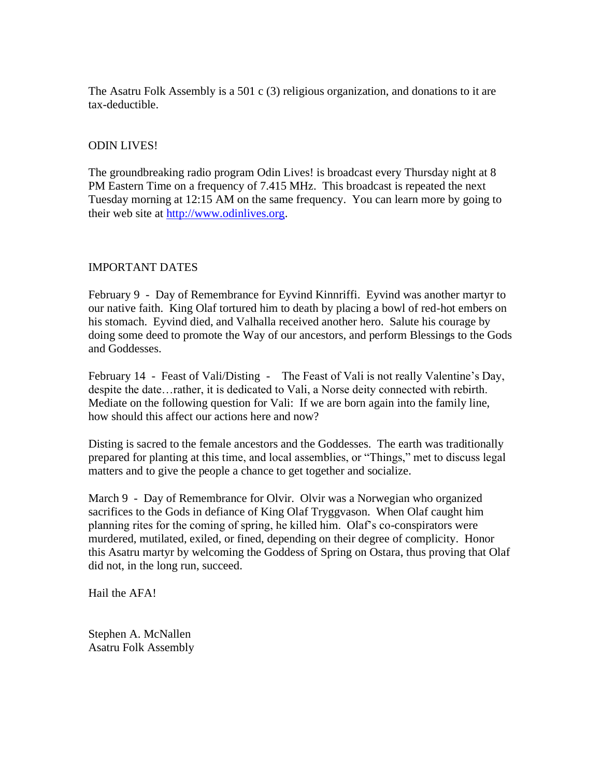The Asatru Folk Assembly is a 501 c (3) religious organization, and donations to it are tax-deductible.

#### ODIN LIVES!

The groundbreaking radio program Odin Lives! is broadcast every Thursday night at 8 PM Eastern Time on a frequency of 7.415 MHz. This broadcast is repeated the next Tuesday morning at 12:15 AM on the same frequency. You can learn more by going to their web site at [http://www.odinlives.org.](http://www.odinlives.org/)

#### IMPORTANT DATES

February 9 - Day of Remembrance for Eyvind Kinnriffi. Eyvind was another martyr to our native faith. King Olaf tortured him to death by placing a bowl of red-hot embers on his stomach. Eyvind died, and Valhalla received another hero. Salute his courage by doing some deed to promote the Way of our ancestors, and perform Blessings to the Gods and Goddesses.

February 14 - Feast of Vali/Disting - The Feast of Vali is not really Valentine's Day, despite the date…rather, it is dedicated to Vali, a Norse deity connected with rebirth. Mediate on the following question for Vali: If we are born again into the family line, how should this affect our actions here and now?

Disting is sacred to the female ancestors and the Goddesses. The earth was traditionally prepared for planting at this time, and local assemblies, or "Things," met to discuss legal matters and to give the people a chance to get together and socialize.

March 9 - Day of Remembrance for Olvir. Olvir was a Norwegian who organized sacrifices to the Gods in defiance of King Olaf Tryggvason. When Olaf caught him planning rites for the coming of spring, he killed him. Olaf's co-conspirators were murdered, mutilated, exiled, or fined, depending on their degree of complicity. Honor this Asatru martyr by welcoming the Goddess of Spring on Ostara, thus proving that Olaf did not, in the long run, succeed.

Hail the AFA!

Stephen A. McNallen Asatru Folk Assembly